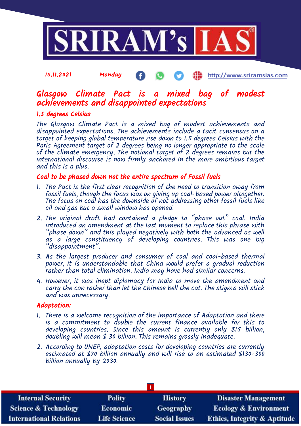

#### 15.11.2021 Monday æ http://www.sriramsias.com

# Glasgow Climate Pact is a mixed bag of modest achievements and disappointed expectations

### 1.5 degrees Celsius

The Glasgow Climate Pact is a mixed bag of modest achievements and disappointed expectations. The achievements include a tacit consensus on a target of keeping global temperature rise down to 1.5 degrees Celsius with the Paris Agreement target of 2 degrees being no longer appropriate to the scale of the climate emergency. The notional target of 2 degrees remains but the international discourse is now firmly anchored in the more ambitious target and this is a plus.

#### Coal to be phased down not the entire spectrum of Fossil fuels

- 1. The Pact is the first clear recognition of the need to transition away from fossil fuels, though the focus was on giving up coal-based power altogether. The focus on coal has the downside of not addressing other fossil fuels like oil and gas but a small window has opened.
- 2. The original draft had contained a pledge to "phase out" coal. India introduced an amendment at the last moment to replace this phrase with  $\hat{\ }$ phase down" and this played negatively with both the advanced as well as a large constituency of developing countries. This was one big "disappointment".
- 3. As the largest producer and consumer of coal and coal-based thermal power, it is understandable that China would prefer a gradual reduction rather than total elimination. India may have had similar concerns.
- 4. However, it was inept diplomacy for India to move the amendment and carry the can rather than let the Chinese bell the cat. The stigma will stick and was unnecessary.

#### Adaptation:

- 1. There is a welcome recognition of the importance of Adaptation and there is a commitment to double the current finance available for this to developing countries. Since this amount is currently only \$15 billion, doubling will mean \$ 30 billion. This remains grossly inadequate.
- 2. According to UNEP, adaptation costs for developing countries are currently estimated at \$70 billion annually and will rise to an estimated \$130-300 billion annually by 2030.

| <b>Internal Security</b>        | <b>Polity</b>       | <b>History</b>       | <b>Disaster Management</b>              |
|---------------------------------|---------------------|----------------------|-----------------------------------------|
| <b>Science &amp; Technology</b> | <b>Economic</b>     | Geography            | <b>Ecology &amp; Environment</b>        |
| <b>International Relations</b>  | <b>Life Science</b> | <b>Social Issues</b> | <b>Ethics, Integrity &amp; Aptitude</b> |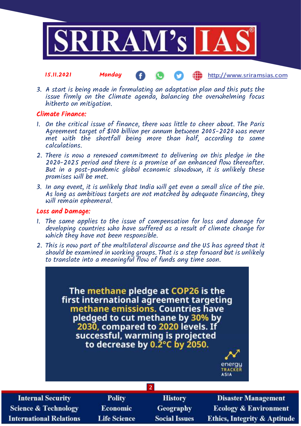

3. A start is being made in formulating an adaptation plan and this puts the issue firmly on the Climate agenda, balancing the overwhelming focus

Æ

http://www.sriramsias.com

#### Climate Finance:

hitherto on mitigation.

- 1. On the critical issue of finance, there was little to cheer about. The Paris Agreement target of \$100 billion per annum between 2005-2020 was never met with the shortfall being more than half, according to some calculations.
- 2. There is now a renewed commitment to delivering on this pledge in the 2020-2025 period and there is a promise of an enhanced flow thereafter. But in a post-pandemic global economic slowdown, it is unlikely these promises will be met.
- 3. In any event, it is unlikely that India will get even a small slice of the pie. As long as ambitious targets are not matched by adequate financing, they will remain ephemeral.

#### Loss and Damage:

- 1. The same applies to the issue of compensation for loss and damage for developing countries who have suffered as a result of climate change for which they have not been responsible.
- 2. This is now part of the multilateral discourse and the US has agreed that it should be examined in working groups. That is a step forward but is unlikely to translate into a meaningful flow of funds any time soon.

The methane pledge at COP26 is the first international agreement targeting methane emissions. Countries have pledged to cut methane by 30% by 2030, compared to 2020 levels. If successful, warming is projected to decrease by  $0.\overline{2}^{\circ}$ C by 2050.

**2**



**Internal Security Science & Technology International Relations** 

**Polity** Economic **Life Science** 

**History Geography Social Issues** 

**Disaster Management Ecology & Environment Ethics, Integrity & Aptitude**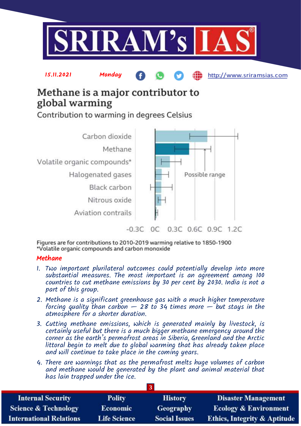

http://www.sriramsias.com

Methane is a major contributor to global warming

Contribution to warming in degrees Celsius

15.11.2021 Monday



Figures are for contributions to 2010-2019 warming relative to 1850-1900 \*Volatile organic compounds and carbon monoxide

### Methane

- 1. Two important plurilateral outcomes could potentially develop into more substantial measures. The most important is an agreement among 100 countries to cut methane emissions by 30 per cent by 2030. India is not a part of this group.
- 2. Methane is a significant greenhouse gas with a much higher temperature forcing quality than carbon  $-$  28 to 34 times more  $-$  but stays in the atmosphere for a shorter duration.
- 3. Cutting methane emissions, which is generated mainly by livestock, is certainly useful but there is a much bigger methane emergency around the corner as the earth's permafrost areas in Siberia, Greenland and the Arctic littoral begin to melt due to global warming that has already taken place and will continue to take place in the coming years.
- 4. There are warnings that as the permafrost melts huge volumes of carbon and methane would be generated by the plant and animal material that has lain trapped under the ice.

| <b>Internal Security</b>        | <b>Polity</b>       | <b>History</b>       | <b>Disaster Management</b>              |
|---------------------------------|---------------------|----------------------|-----------------------------------------|
| <b>Science &amp; Technology</b> | <b>Economic</b>     | <b>Geography</b>     | <b>Ecology &amp; Environment</b>        |
| <b>International Relations</b>  | <b>Life Science</b> | <b>Social Issues</b> | <b>Ethics, Integrity &amp; Aptitude</b> |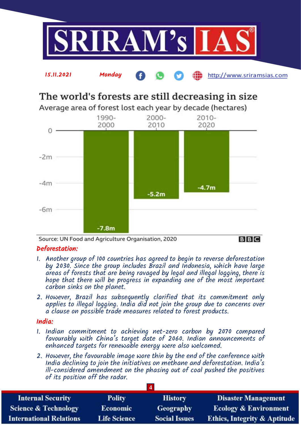



# The world's forests are still decreasing in size

Average area of forest lost each year by decade (hectares)



Source: UN Food and Agriculture Organisation, 2020

### **BBC**

### Deforestation:

- 1. Another group of 100 countries has agreed to begin to reverse deforestation by 2030. Since the group includes Brazil and Indonesia, which have large areas of forests that are being ravaged by legal and illegal logging, there is hope that there will be progress in expanding one of the most important carbon sinks on the planet.
- 2. However, Brazil has subsequently clarified that its commitment only applies to illegal logging. India did not join the group due to concerns over a clause on possible trade measures related to forest products.

### India:

- 1. Indian commitment to achieving net-zero carbon by 2070 compared favourably with China's target date of 2060. Indian announcements of enhanced targets for renewable energy were also welcomed.
- 2. However, the favourable image wore thin by the end of the conference with India declining to join the initiatives on methane and deforestation. India's ill-considered amendment on the phasing out of coal pushed the positives of its position off the radar.

| <b>Internal Security</b>        | <b>Polity</b>       | <b>History</b>       | <b>Disaster Management</b>              |
|---------------------------------|---------------------|----------------------|-----------------------------------------|
| <b>Science &amp; Technology</b> | <b>Economic</b>     | Geography            | <b>Ecology &amp; Environment</b>        |
| <b>International Relations</b>  | <b>Life Science</b> | <b>Social Issues</b> | <b>Ethics, Integrity &amp; Aptitude</b> |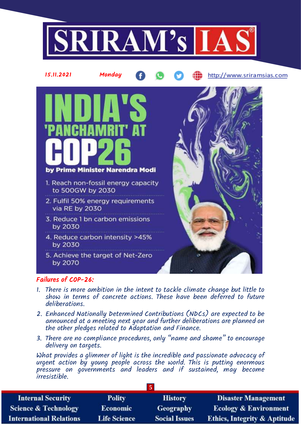



### Failures of COP-26:

- 1. There is more ambition in the intent to tackle climate change but little to show in terms of concrete actions. These have been deferred to future deliberations.
- 2. Enhanced Nationally Determined Contributions (NDCs) are expected to be announced at a meeting next year and further deliberations are planned on the other pledges related to Adaptation and Finance.
- 3. There are no compliance procedures, only "name and shame" to encourage delivery on targets.

What provides a glimmer of light is the incredible and passionate advocacy of urgent action by young people across the world. This is putting enormous pressure on governments and leaders and if sustained, may become irresistible.

| <b>Internal Security</b>        | <b>Polity</b>       | <b>History</b>       | <b>Disaster Management</b>              |
|---------------------------------|---------------------|----------------------|-----------------------------------------|
| <b>Science &amp; Technology</b> | Economic            | <b>Geography</b>     | <b>Ecology &amp; Environment</b>        |
| <b>International Relations</b>  | <b>Life Science</b> | <b>Social Issues</b> | <b>Ethics, Integrity &amp; Aptitude</b> |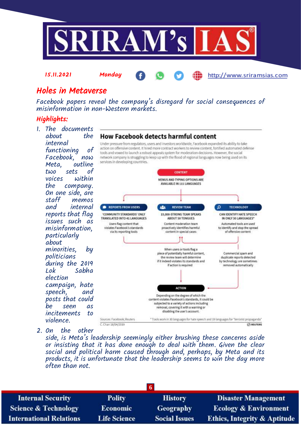

http://www.sriramsias.com

## Holes in Metaverse

15.11.2021 Monday

Facebook papers reveal the company's disregard for social consequences of misinformation in non-Western markets.

## Highlights:

- 1. The documents about. **How Facebook detects harmful content** internal Under pressure from regulators, users and investors worldwide, Facebook expanded its ability to take action on offensive content. It hired more contract workers to review content, fortified automated defense functioning of tools and vowed to launch a robust appeals system for moderation decisions. However, the social Facebook, now network company is struggling to keep up with the flood of regional languages now being used on its services in developing countries. Meta, outline two sets of **CONTENT** voices within MENUS AND TYPING OPTIONS ARE AVAILABLE IN 111 LANGUAGES the company. On one side, are staff memos<br>and internal internal REPORTS FROM USERS **REVIEW TEAM** م **TECHNOLOGY** 221 reports that flag 'COMMUNITY STANDARDS' ONLY 15,000-STRONG TEAM SPEAKS CAN IDENTIFY HATE SPEECH TRANSLATED INTO 41 LANGUAGES ABOUT 50 TONGUES IN ONLY 30 LANGUAGES\* issues such as Users flag content that Content moderation team Automated tools are used misinformation, proactively identifies harmful. to identify and stop the spread violates Facebook's standards of offensive content via its reporting tools content in special cases particularly about minorities, by When users or tools flag a piece of potentially harmful content. Commercial spam and politicians the review team will determine duplicate reports detected by technology are sometimes if it indeed violates its standards and during the 2019 if action is required removed automatically Sabha election campaign, hate **ACTION** speech, and Depending on the degree of which the posts that could content violates Facebook's standards, it could be subjected to a variety of actions including be seen as removal, covering it with a warning or disabling the user's account. incitements to Sources: Facebook: Reuters \* Tools work in 30 languages for hate speech and 19 languages for "terrorist propaganda" violence. C. Chan 18/04/2019 *Chacuters*
- 2. On the other

side, is Meta's leadership seemingly either brushing these concerns aside or insisting that it has done enough to deal with them. Given the clear social and political harm caused through and, perhaps, by Meta and its products, it is unfortunate that the leadership seems to win the day more often than not.

| $\overline{\mathbf{6}}$         |                     |                      |                                         |
|---------------------------------|---------------------|----------------------|-----------------------------------------|
| <b>Internal Security</b>        | <b>Polity</b>       | <b>History</b>       | <b>Disaster Management</b>              |
| <b>Science &amp; Technology</b> | <b>Economic</b>     | <b>Geography</b>     | <b>Ecology &amp; Environment</b>        |
| <b>International Relations</b>  | <b>Life Science</b> | <b>Social Issues</b> | <b>Ethics, Integrity &amp; Aptitude</b> |
|                                 |                     |                      |                                         |